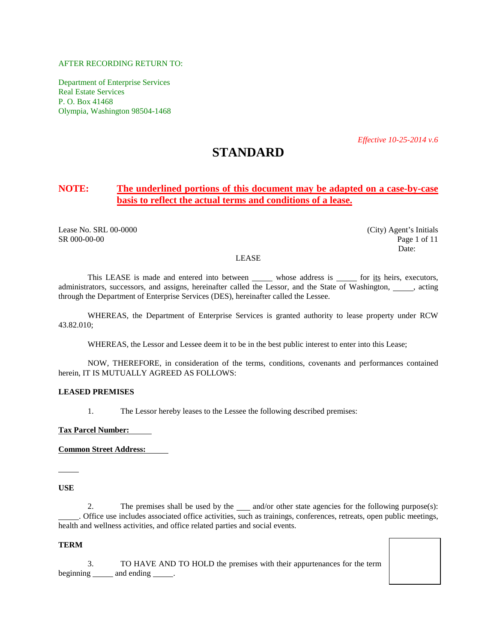# AFTER RECORDING RETURN TO:

Department of Enterprise Services Real Estate Services P. O. Box 41468 Olympia, Washington 98504-1468

*Effective 10-25-2014 v.6*

# **STANDARD**

# **NOTE: The underlined portions of this document may be adapted on a case-by-case basis to reflect the actual terms and conditions of a lease.**

Lease No. SRL 00-0000 (City) Agent's Initials SR 000-00-00 **Page 1 of 11** 

<span id="page-0-0"></span>Date:

#### LEASE

This LEASE is made and entered into between whose address is for its heirs, executors, administrators, successors, and assigns, hereinafter called the Lessor, and the State of Washington,  $\frac{1}{\sqrt{2}}$ , acting through the Department of Enterprise Services (DES), hereinafter called the Lessee.

WHEREAS, the Department of Enterprise Services is granted authority to lease property under RCW 43.82.010;

WHEREAS, the Lessor and Lessee deem it to be in the best public interest to enter into this Lease;

NOW, THEREFORE, in consideration of the terms, conditions, covenants and performances contained herein, IT IS MUTUALLY AGREED AS FOLLOWS:

#### **LEASED PREMISES**

1. The Lessor hereby leases to the Lessee the following described premises:

**Tax Parcel Number:**

**Common Street Address:**

**USE**

2. The premises shall be used by the  $\_\_\_$  and/or other state agencies for the following purpose(s): . Office use includes associated office activities, such as trainings, conferences, retreats, open public meetings, health and wellness activities, and office related parties and social events.

#### **TERM**

3. TO HAVE AND TO HOLD the premises with their appurtenances for the term beginning \_\_\_\_\_\_ and ending \_\_\_\_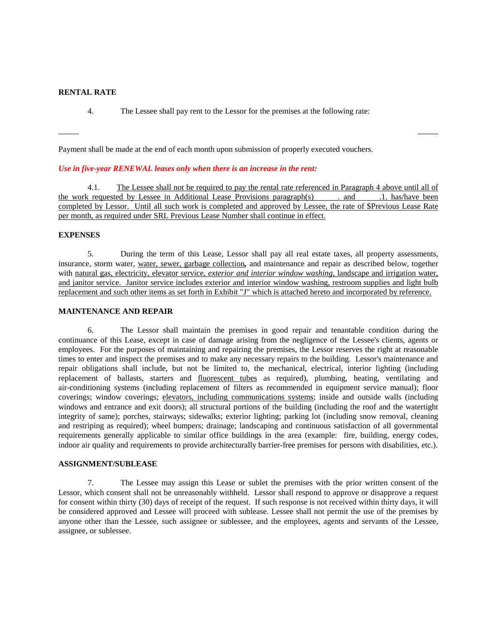#### **RENTAL RATE**

4. The Lessee shall pay rent to the Lessor for the premises at the following rate:

Payment shall be made at the end of each month upon submission of properly executed vouchers.

#### *Use in five-year RENEWAL leases only when there is an increase in the rent:*

4.1. The Lessee shall not be required to pay the rental rate referenced in Paragraph 4 above until all of requested by Lessee in Additional Lease Provisions paragraph(s) and .1. has/have been the work requested by Lessee in Additional Lease Provisions paragraph(s) . and completed by Lessor. Until all such work is completed and approved by Lessee, the rate of \$Previous Lease Rate per month, as required under SRL Previous Lease Number shall continue in effect.

#### **EXPENSES**

5. During the term of this Lease, Lessor shall pay all real estate taxes, all property assessments, insurance, storm water, water, sewer, garbage collection*,* and maintenance and repair as described below, together with natural gas, electricity, elevator service, *exterior and interior window washing*, landscape and irrigation water, and janitor service. Janitor service includes exterior and interior window washing, restroom supplies and light bulb replacement and such other items as set forth in Exhibit "J" which is attached hereto and incorporated by reference.

# **MAINTENANCE AND REPAIR**

6. The Lessor shall maintain the premises in good repair and tenantable condition during the continuance of this Lease, except in case of damage arising from the negligence of the Lessee's clients, agents or employees. For the purposes of maintaining and repairing the premises, the Lessor reserves the right at reasonable times to enter and inspect the premises and to make any necessary repairs to the building. Lessor's maintenance and repair obligations shall include, but not be limited to, the mechanical, electrical, interior lighting (including replacement of ballasts, starters and fluorescent tubes as required), plumbing, heating, ventilating and air-conditioning systems (including replacement of filters as recommended in equipment service manual); floor coverings; window coverings; elevators, including communications systems; inside and outside walls (including windows and entrance and exit doors); all structural portions of the building (including the roof and the watertight integrity of same); porches, stairways; sidewalks; exterior lighting; parking lot (including snow removal, cleaning and restriping as required); wheel bumpers; drainage; landscaping and continuous satisfaction of all governmental requirements generally applicable to similar office buildings in the area (example: fire, building, energy codes, indoor air quality and requirements to provide architecturally barrier-free premises for persons with disabilities, etc.).

### **ASSIGNMENT/SUBLEASE**

7. The Lessee may assign this Lease or sublet the premises with the prior written consent of the Lessor, which consent shall not be unreasonably withheld. Lessor shall respond to approve or disapprove a request for consent within thirty (30) days of receipt of the request. If such response is not received within thirty days, it will be considered approved and Lessee will proceed with sublease. Lessee shall not permit the use of the premises by anyone other than the Lessee, such assignee or sublessee, and the employees, agents and servants of the Lessee, assignee, or sublessee.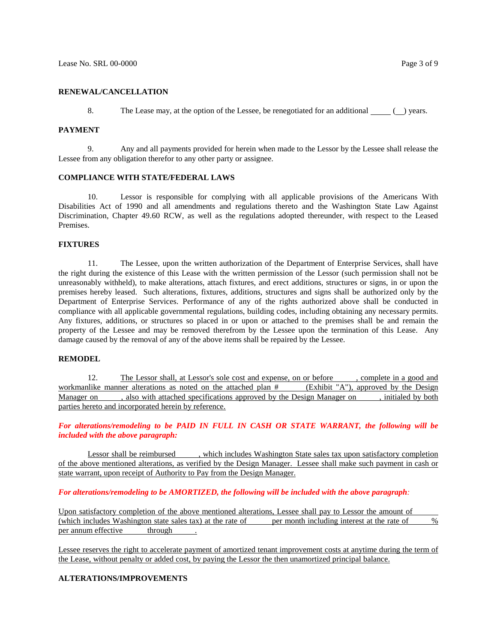#### **RENEWAL/CANCELLATION**

8. The Lease may, at the option of the Lessee, be renegotiated for an additional  $\Box$  ( $\Box$ ) years.

#### **PAYMENT**

9. Any and all payments provided for herein when made to the Lessor by the Lessee shall release the Lessee from any obligation therefor to any other party or assignee.

#### **COMPLIANCE WITH STATE/FEDERAL LAWS**

10. Lessor is responsible for complying with all applicable provisions of the Americans With Disabilities Act of 1990 and all amendments and regulations thereto and the Washington State Law Against Discrimination, Chapter 49.60 RCW, as well as the regulations adopted thereunder, with respect to the Leased Premises.

#### **FIXTURES**

11. The Lessee, upon the written authorization of the Department of Enterprise Services, shall have the right during the existence of this Lease with the written permission of the Lessor (such permission shall not be unreasonably withheld), to make alterations, attach fixtures, and erect additions, structures or signs, in or upon the premises hereby leased. Such alterations, fixtures, additions, structures and signs shall be authorized only by the Department of Enterprise Services. Performance of any of the rights authorized above shall be conducted in compliance with all applicable governmental regulations, building codes, including obtaining any necessary permits. Any fixtures, additions, or structures so placed in or upon or attached to the premises shall be and remain the property of the Lessee and may be removed therefrom by the Lessee upon the termination of this Lease. Any damage caused by the removal of any of the above items shall be repaired by the Lessee.

#### **REMODEL**

12. The Lessor shall, at Lessor's sole cost and expense, on or before , complete in a good and workmanlike manner alterations as noted on the attached plan # (Exhibit "A"), approved by the Design Manager on , also with attached specifications approved by the Design Manager on , initialed by both parties hereto and incorporated herein by reference.

*For alterations/remodeling to be PAID IN FULL IN CASH OR STATE WARRANT, the following will be included with the above paragraph:*

Lessor shall be reimbursed , which includes Washington State sales tax upon satisfactory completion of the above mentioned alterations, as verified by the Design Manager. Lessee shall make such payment in cash or state warrant, upon receipt of Authority to Pay from the Design Manager.

#### *For alterations/remodeling to be AMORTIZED, the following will be included with the above paragraph:*

Upon satisfactory completion of the above mentioned alterations, Lessee shall pay to Lessor the amount of (which includes Washington state sales tax) at the rate of per month including interest at the rate of % per annum effective through

Lessee reserves the right to accelerate payment of amortized tenant improvement costs at anytime during the term of the Lease, without penalty or added cost, by paying the Lessor the then unamortized principal balance.

# **ALTERATIONS/IMPROVEMENTS**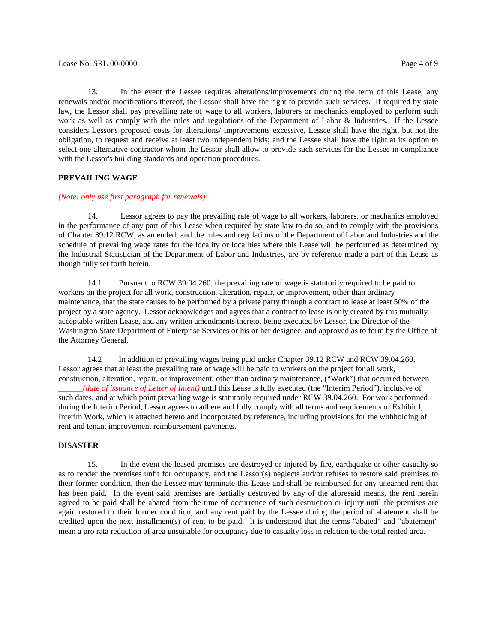13. In the event the Lessee requires alterations/improvements during the term of this Lease, any renewals and/or modifications thereof, the Lessor shall have the right to provide such services. If required by state law, the Lessor shall pay prevailing rate of wage to all workers, laborers or mechanics employed to perform such work as well as comply with the rules and regulations of the Department of Labor & Industries. If the Lessee considers Lessor's proposed costs for alterations/ improvements excessive, Lessee shall have the right, but not the obligation, to request and receive at least two independent bids; and the Lessee shall have the right at its option to select one alternative contractor whom the Lessor shall allow to provide such services for the Lessee in compliance with the Lessor's building standards and operation procedures.

# **PREVAILING WAGE**

#### *(Note: only use first paragraph for renewals)*

14. Lessor agrees to pay the prevailing rate of wage to all workers, laborers, or mechanics employed in the performance of any part of this Lease when required by state law to do so, and to comply with the provisions of Chapter 39.12 RCW, as amended, and the rules and regulations of the Department of Labor and Industries and the schedule of prevailing wage rates for the locality or localities where this Lease will be performed as determined by the Industrial Statistician of the Department of Labor and Industries, are by reference made a part of this Lease as though fully set forth herein.

14.1 Pursuant to RCW 39.04.260, the prevailing rate of wage is statutorily required to be paid to workers on the project for all work, construction, alteration, repair, or improvement, other than ordinary maintenance, that the state causes to be performed by a private party through a contract to lease at least 50% of the project by a state agency. Lessor acknowledges and agrees that a contract to lease is only created by this mutually acceptable written Lease, and any written amendments thereto, being executed by Lessor, the Director of the Washington State Department of Enterprise Services or his or her designee, and approved as to form by the Office of the Attorney General.

14.2 In addition to prevailing wages being paid under Chapter 39.12 RCW and RCW 39.04.260, Lessor agrees that at least the prevailing rate of wage will be paid to workers on the project for all work, construction, alteration, repair, or improvement, other than ordinary maintenance, ("Work") that occurred between \_\_\_\_\_\_*(date of issuance of Letter of Intent)* until this Lease is fully executed (the "Interim Period"), inclusive of such dates, and at which point prevailing wage is statutorily required under RCW 39.04.260. For work performed during the Interim Period, Lessor agrees to adhere and fully comply with all terms and requirements of Exhibit I, Interim Work, which is attached hereto and incorporated by reference, including provisions for the withholding of rent and tenant improvement reimbursement payments.

#### **DISASTER**

15. In the event the leased premises are destroyed or injured by fire, earthquake or other casualty so as to render the premises unfit for occupancy, and the Lessor(s) neglects and/or refuses to restore said premises to their former condition, then the Lessee may terminate this Lease and shall be reimbursed for any unearned rent that has been paid. In the event said premises are partially destroyed by any of the aforesaid means, the rent herein agreed to be paid shall be abated from the time of occurrence of such destruction or injury until the premises are again restored to their former condition, and any rent paid by the Lessee during the period of abatement shall be credited upon the next installment(s) of rent to be paid. It is understood that the terms "abated" and "abatement" mean a pro rata reduction of area unsuitable for occupancy due to casualty loss in relation to the total rented area.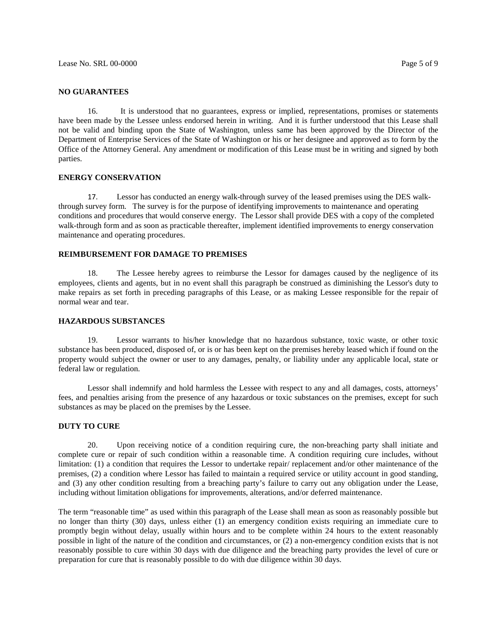#### **NO GUARANTEES**

16. It is understood that no guarantees, express or implied, representations, promises or statements have been made by the Lessee unless endorsed herein in writing. And it is further understood that this Lease shall not be valid and binding upon the State of Washington, unless same has been approved by the Director of the Department of Enterprise Services of the State of Washington or his or her designee and approved as to form by the Office of the Attorney General. Any amendment or modification of this Lease must be in writing and signed by both parties.

#### **ENERGY CONSERVATION**

17. Lessor has conducted an energy walk-through survey of the leased premises using the DES walkthrough survey form. The survey is for the purpose of identifying improvements to maintenance and operating conditions and procedures that would conserve energy. The Lessor shall provide DES with a copy of the completed walk-through form and as soon as practicable thereafter, implement identified improvements to energy conservation maintenance and operating procedures.

# **REIMBURSEMENT FOR DAMAGE TO PREMISES**

18. The Lessee hereby agrees to reimburse the Lessor for damages caused by the negligence of its employees, clients and agents, but in no event shall this paragraph be construed as diminishing the Lessor's duty to make repairs as set forth in preceding paragraphs of this Lease, or as making Lessee responsible for the repair of normal wear and tear.

### **HAZARDOUS SUBSTANCES**

19. Lessor warrants to his/her knowledge that no hazardous substance, toxic waste, or other toxic substance has been produced, disposed of, or is or has been kept on the premises hereby leased which if found on the property would subject the owner or user to any damages, penalty, or liability under any applicable local, state or federal law or regulation.

Lessor shall indemnify and hold harmless the Lessee with respect to any and all damages, costs, attorneys' fees, and penalties arising from the presence of any hazardous or toxic substances on the premises, except for such substances as may be placed on the premises by the Lessee.

#### **DUTY TO CURE**

20. Upon receiving notice of a condition requiring cure, the non-breaching party shall initiate and complete cure or repair of such condition within a reasonable time. A condition requiring cure includes, without limitation: (1) a condition that requires the Lessor to undertake repair/ replacement and/or other maintenance of the premises, (2) a condition where Lessor has failed to maintain a required service or utility account in good standing, and (3) any other condition resulting from a breaching party's failure to carry out any obligation under the Lease, including without limitation obligations for improvements, alterations, and/or deferred maintenance.

The term "reasonable time" as used within this paragraph of the Lease shall mean as soon as reasonably possible but no longer than thirty (30) days, unless either (1) an emergency condition exists requiring an immediate cure to promptly begin without delay, usually within hours and to be complete within 24 hours to the extent reasonably possible in light of the nature of the condition and circumstances, or (2) a non-emergency condition exists that is not reasonably possible to cure within 30 days with due diligence and the breaching party provides the level of cure or preparation for cure that is reasonably possible to do with due diligence within 30 days.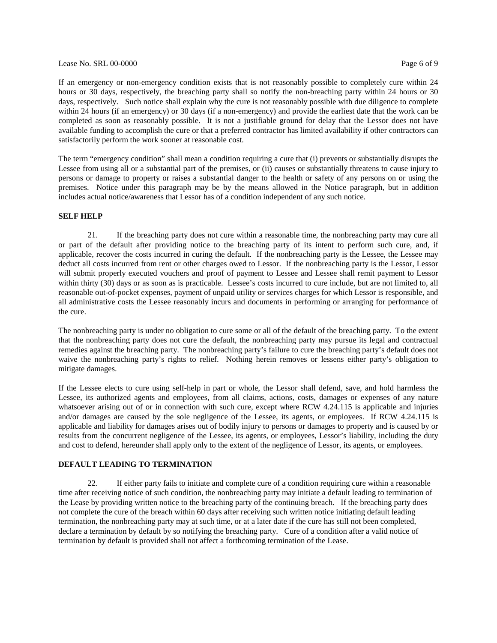#### LeaseNo. SRL 00-0000 Page 6 of 9

If an emergency or non-emergency condition exists that is not reasonably possible to completely cure within 24 hours or 30 days, respectively, the breaching party shall so notify the non-breaching party within 24 hours or 30 days, respectively. Such notice shall explain why the cure is not reasonably possible with due diligence to complete within 24 hours (if an emergency) or 30 days (if a non-emergency) and provide the earliest date that the work can be completed as soon as reasonably possible. It is not a justifiable ground for delay that the Lessor does not have available funding to accomplish the cure or that a preferred contractor has limited availability if other contractors can satisfactorily perform the work sooner at reasonable cost.

The term "emergency condition" shall mean a condition requiring a cure that (i) prevents or substantially disrupts the Lessee from using all or a substantial part of the premises, or (ii) causes or substantially threatens to cause injury to persons or damage to property or raises a substantial danger to the health or safety of any persons on or using the premises. Notice under this paragraph may be by the means allowed in the Notice paragraph, but in addition includes actual notice/awareness that Lessor has of a condition independent of any such notice.

#### **SELF HELP**

21. If the breaching party does not cure within a reasonable time, the nonbreaching party may cure all or part of the default after providing notice to the breaching party of its intent to perform such cure, and, if applicable, recover the costs incurred in curing the default. If the nonbreaching party is the Lessee, the Lessee may deduct all costs incurred from rent or other charges owed to Lessor. If the nonbreaching party is the Lessor, Lessor will submit properly executed vouchers and proof of payment to Lessee and Lessee shall remit payment to Lessor within thirty (30) days or as soon as is practicable. Lessee's costs incurred to cure include, but are not limited to, all reasonable out-of-pocket expenses, payment of unpaid utility or services charges for which Lessor is responsible, and all administrative costs the Lessee reasonably incurs and documents in performing or arranging for performance of the cure.

The nonbreaching party is under no obligation to cure some or all of the default of the breaching party. To the extent that the nonbreaching party does not cure the default, the nonbreaching party may pursue its legal and contractual remedies against the breaching party. The nonbreaching party's failure to cure the breaching party's default does not waive the nonbreaching party's rights to relief. Nothing herein removes or lessens either party's obligation to mitigate damages.

If the Lessee elects to cure using self-help in part or whole, the Lessor shall defend, save, and hold harmless the Lessee, its authorized agents and employees, from all claims, actions, costs, damages or expenses of any nature whatsoever arising out of or in connection with such cure, except where RCW 4.24.115 is applicable and injuries and/or damages are caused by the sole negligence of the Lessee, its agents, or employees. If RCW 4.24.115 is applicable and liability for damages arises out of bodily injury to persons or damages to property and is caused by or results from the concurrent negligence of the Lessee, its agents, or employees, Lessor's liability, including the duty and cost to defend, hereunder shall apply only to the extent of the negligence of Lessor, its agents, or employees.

# **DEFAULT LEADING TO TERMINATION**

22. If either party fails to initiate and complete cure of a condition requiring cure within a reasonable time after receiving notice of such condition, the nonbreaching party may initiate a default leading to termination of the Lease by providing written notice to the breaching party of the continuing breach. If the breaching party does not complete the cure of the breach within 60 days after receiving such written notice initiating default leading termination, the nonbreaching party may at such time, or at a later date if the cure has still not been completed, declare a termination by default by so notifying the breaching party. Cure of a condition after a valid notice of termination by default is provided shall not affect a forthcoming termination of the Lease.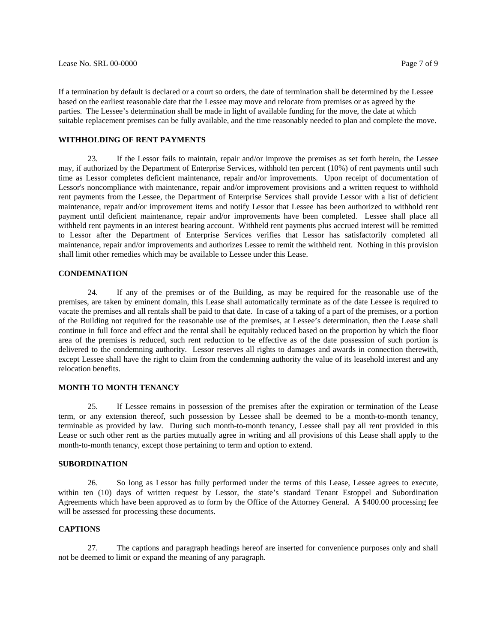If a termination by default is declared or a court so orders, the date of termination shall be determined by the Lessee based on the earliest reasonable date that the Lessee may move and relocate from premises or as agreed by the parties. The Lessee's determination shall be made in light of available funding for the move, the date at which suitable replacement premises can be fully available, and the time reasonably needed to plan and complete the move.

#### **WITHHOLDING OF RENT PAYMENTS**

23. If the Lessor fails to maintain, repair and/or improve the premises as set forth herein, the Lessee may, if authorized by the Department of Enterprise Services, withhold ten percent (10%) of rent payments until such time as Lessor completes deficient maintenance, repair and/or improvements. Upon receipt of documentation of Lessor's noncompliance with maintenance, repair and/or improvement provisions and a written request to withhold rent payments from the Lessee, the Department of Enterprise Services shall provide Lessor with a list of deficient maintenance, repair and/or improvement items and notify Lessor that Lessee has been authorized to withhold rent payment until deficient maintenance, repair and/or improvements have been completed. Lessee shall place all withheld rent payments in an interest bearing account. Withheld rent payments plus accrued interest will be remitted to Lessor after the Department of Enterprise Services verifies that Lessor has satisfactorily completed all maintenance, repair and/or improvements and authorizes Lessee to remit the withheld rent. Nothing in this provision shall limit other remedies which may be available to Lessee under this Lease.

#### **CONDEMNATION**

24. If any of the premises or of the Building, as may be required for the reasonable use of the premises, are taken by eminent domain, this Lease shall automatically terminate as of the date Lessee is required to vacate the premises and all rentals shall be paid to that date. In case of a taking of a part of the premises, or a portion of the Building not required for the reasonable use of the premises, at Lessee's determination, then the Lease shall continue in full force and effect and the rental shall be equitably reduced based on the proportion by which the floor area of the premises is reduced, such rent reduction to be effective as of the date possession of such portion is delivered to the condemning authority. Lessor reserves all rights to damages and awards in connection therewith, except Lessee shall have the right to claim from the condemning authority the value of its leasehold interest and any relocation benefits.

#### **MONTH TO MONTH TENANCY**

25. If Lessee remains in possession of the premises after the expiration or termination of the Lease term, or any extension thereof, such possession by Lessee shall be deemed to be a month-to-month tenancy, terminable as provided by law. During such month-to-month tenancy, Lessee shall pay all rent provided in this Lease or such other rent as the parties mutually agree in writing and all provisions of this Lease shall apply to the month-to-month tenancy, except those pertaining to term and option to extend.

# **SUBORDINATION**

26. So long as Lessor has fully performed under the terms of this Lease, Lessee agrees to execute, within ten (10) days of written request by Lessor, the state's standard Tenant Estoppel and Subordination Agreements which have been approved as to form by the Office of the Attorney General. A \$400.00 processing fee will be assessed for processing these documents.

#### **CAPTIONS**

27. The captions and paragraph headings hereof are inserted for convenience purposes only and shall not be deemed to limit or expand the meaning of any paragraph.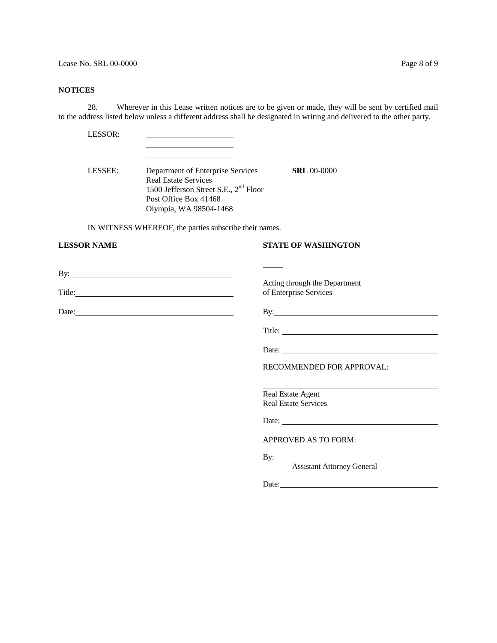### **NOTICES**

28. Wherever in this Lease written notices are to be given or made, they will be sent by certified mail to the address listed below unless a different address shall be designated in writing and delivered to the other party.

LESSOR:

LESSEE: Department of Enterprise Services **SRL** 00-0000 Real Estate Services 1500 Jefferson Street S.E., 2nd Floor Post Office Box 41468 Olympia, WA 98504-1468

IN WITNESS WHEREOF, the parties subscribe their names.

# **LESSOR NAME STATE OF WASHINGTON**

By: <u>Department</u>

Title: of Enterprise Services Services Services Services Services Services Services Services Services Services

Acting through the Department<br>of Enterprise Services

Date: By:

Title:

Date:

RECOMMENDED FOR APPROVAL:

Real Estate Agent Real Estate Services

Date:

APPROVED AS TO FORM:

 $By:$ 

Assistant Attorney General

Date: https://www.com/communications/communications/communications/communications/communications/communications/communications/communications/communications/communications/communications/communications/communications/commu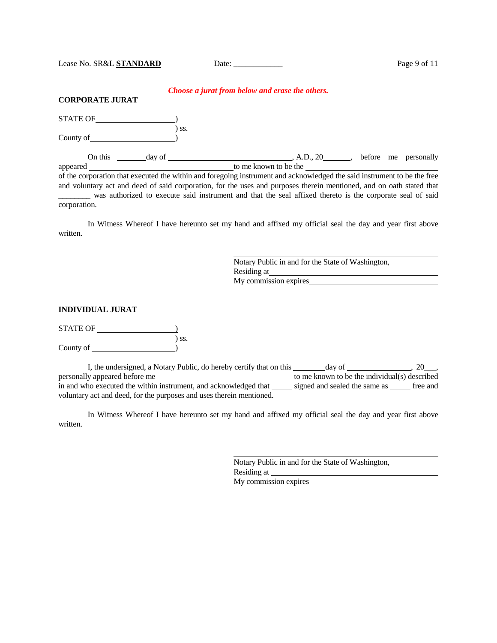|--|

#### *Choose a jurat from below and erase the others.*

| <b>CORPORATE JURAT</b> |  |
|------------------------|--|
|------------------------|--|

| <b>STATE OF</b> |        |     |                       |            |  |                      |
|-----------------|--------|-----|-----------------------|------------|--|----------------------|
| County of       |        | SS. |                       |            |  |                      |
| On this         | day of |     |                       | , A.D., 20 |  | before me personally |
| appeared        |        |     | to me known to be the |            |  |                      |

of the corporation that executed the within and foregoing instrument and acknowledged the said instrument to be the free and voluntary act and deed of said corporation, for the uses and purposes therein mentioned, and on oath stated that \_\_\_\_\_\_\_\_ was authorized to execute said instrument and that the seal affixed thereto is the corporate seal of said corporation.

In Witness Whereof I have hereunto set my hand and affixed my official seal the day and year first above written.

> Notary Public in and for the State of Washington, Residing at My commission expires

#### **INDIVIDUAL JURAT**

STATE OF 1 ) ss. County of  $\qquad \qquad$ 

I, the undersigned, a Notary Public, do hereby certify that on this  $\_\_\_\_day$  of  $\_\_\_\_\_day$ , 20 $\_\_\_\,,$ personally appeared before me **the individual** to me known to be the individual(s) described in and who executed the within instrument, and acknowledged that signed and sealed the same as some free and voluntary act and deed, for the purposes and uses therein mentioned.

In Witness Whereof I have hereunto set my hand and affixed my official seal the day and year first above written.

> Notary Public in and for the State of Washington, Residing at My commission expires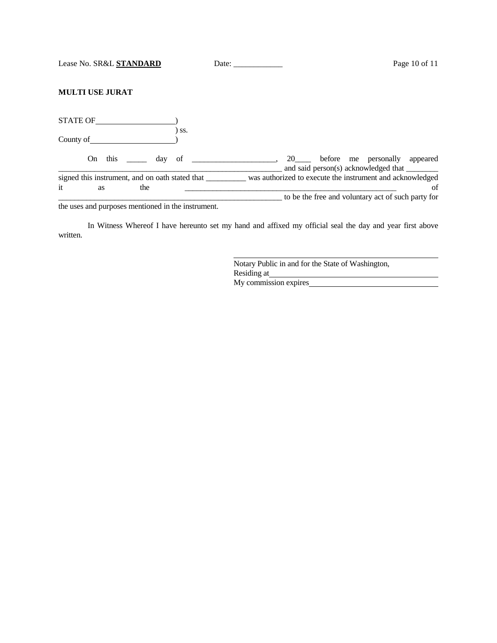|--|

# **MULTI USE JURAT**

| <b>STATE OF</b>                                                    |      |                                                                                       |
|--------------------------------------------------------------------|------|---------------------------------------------------------------------------------------|
| County of                                                          | `SS. |                                                                                       |
| this<br>day of<br>On.                                              |      | before me personally appeared<br>20<br>and said person(s) acknowledged that _________ |
| signed this instrument, and on oath stated that<br>it<br>the<br>as |      | was authorized to execute the instrument and acknowledged<br>of                       |
|                                                                    |      | to be the free and voluntary act of such party for                                    |

the uses and purposes mentioned in the instrument.

In Witness Whereof I have hereunto set my hand and affixed my official seal the day and year first above written.

> Notary Public in and for the State of Washington, Residing at My commission expires